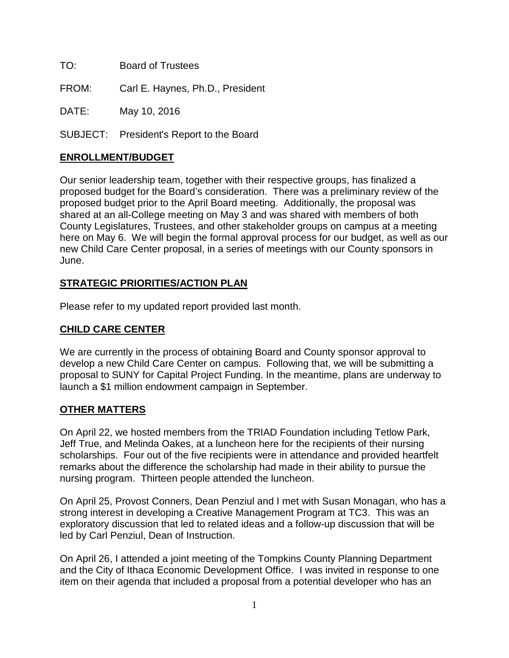TO: Board of Trustees

FROM: Carl E. Haynes, Ph.D., President

DATE: May 10, 2016

SUBJECT: President's Report to the Board

## **ENROLLMENT/BUDGET**

Our senior leadership team, together with their respective groups, has finalized a proposed budget for the Board's consideration. There was a preliminary review of the proposed budget prior to the April Board meeting. Additionally, the proposal was shared at an all-College meeting on May 3 and was shared with members of both County Legislatures, Trustees, and other stakeholder groups on campus at a meeting here on May 6. We will begin the formal approval process for our budget, as well as our new Child Care Center proposal, in a series of meetings with our County sponsors in June.

## **STRATEGIC PRIORITIES/ACTION PLAN**

Please refer to my updated report provided last month.

## **CHILD CARE CENTER**

We are currently in the process of obtaining Board and County sponsor approval to develop a new Child Care Center on campus. Following that, we will be submitting a proposal to SUNY for Capital Project Funding. In the meantime, plans are underway to launch a \$1 million endowment campaign in September.

## **OTHER MATTERS**

On April 22, we hosted members from the TRIAD Foundation including Tetlow Park, Jeff True, and Melinda Oakes, at a luncheon here for the recipients of their nursing scholarships. Four out of the five recipients were in attendance and provided heartfelt remarks about the difference the scholarship had made in their ability to pursue the nursing program. Thirteen people attended the luncheon.

On April 25, Provost Conners, Dean Penziul and I met with Susan Monagan, who has a strong interest in developing a Creative Management Program at TC3. This was an exploratory discussion that led to related ideas and a follow-up discussion that will be led by Carl Penziul, Dean of Instruction.

On April 26, I attended a joint meeting of the Tompkins County Planning Department and the City of Ithaca Economic Development Office. I was invited in response to one item on their agenda that included a proposal from a potential developer who has an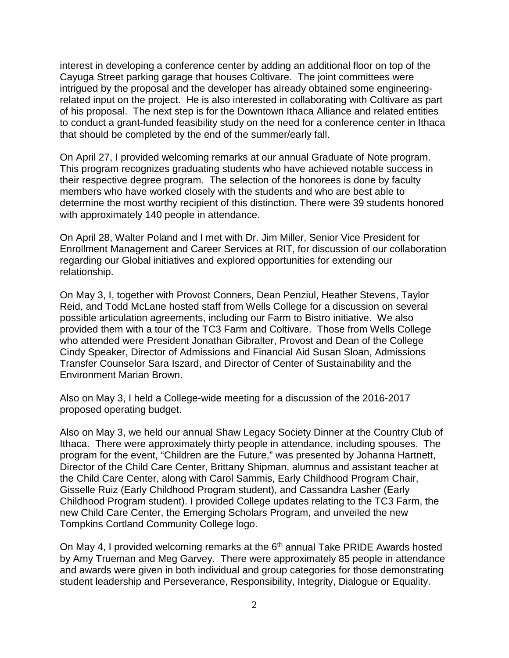interest in developing a conference center by adding an additional floor on top of the Cayuga Street parking garage that houses Coltivare. The joint committees were intrigued by the proposal and the developer has already obtained some engineeringrelated input on the project. He is also interested in collaborating with Coltivare as part of his proposal. The next step is for the Downtown Ithaca Alliance and related entities to conduct a grant-funded feasibility study on the need for a conference center in Ithaca that should be completed by the end of the summer/early fall.

On April 27, I provided welcoming remarks at our annual Graduate of Note program. This program recognizes graduating students who have achieved notable success in their respective degree program. The selection of the honorees is done by faculty members who have worked closely with the students and who are best able to determine the most worthy recipient of this distinction. There were 39 students honored with approximately 140 people in attendance.

On April 28, Walter Poland and I met with Dr. Jim Miller, Senior Vice President for Enrollment Management and Career Services at RIT, for discussion of our collaboration regarding our Global initiatives and explored opportunities for extending our relationship.

On May 3, I, together with Provost Conners, Dean Penziul, Heather Stevens, Taylor Reid, and Todd McLane hosted staff from Wells College for a discussion on several possible articulation agreements, including our Farm to Bistro initiative. We also provided them with a tour of the TC3 Farm and Coltivare. Those from Wells College who attended were President Jonathan Gibralter, Provost and Dean of the College Cindy Speaker, Director of Admissions and Financial Aid Susan Sloan, Admissions Transfer Counselor Sara Iszard, and Director of Center of Sustainability and the Environment Marian Brown.

Also on May 3, I held a College-wide meeting for a discussion of the 2016-2017 proposed operating budget.

Also on May 3, we held our annual Shaw Legacy Society Dinner at the Country Club of Ithaca. There were approximately thirty people in attendance, including spouses. The program for the event, "Children are the Future," was presented by Johanna Hartnett, Director of the Child Care Center, Brittany Shipman, alumnus and assistant teacher at the Child Care Center, along with Carol Sammis, Early Childhood Program Chair, Gisselle Ruiz (Early Childhood Program student), and Cassandra Lasher (Early Childhood Program student). I provided College updates relating to the TC3 Farm, the new Child Care Center, the Emerging Scholars Program, and unveiled the new Tompkins Cortland Community College logo.

On May 4, I provided welcoming remarks at the 6<sup>th</sup> annual Take PRIDE Awards hosted by Amy Trueman and Meg Garvey. There were approximately 85 people in attendance and awards were given in both individual and group categories for those demonstrating student leadership and Perseverance, Responsibility, Integrity, Dialogue or Equality.